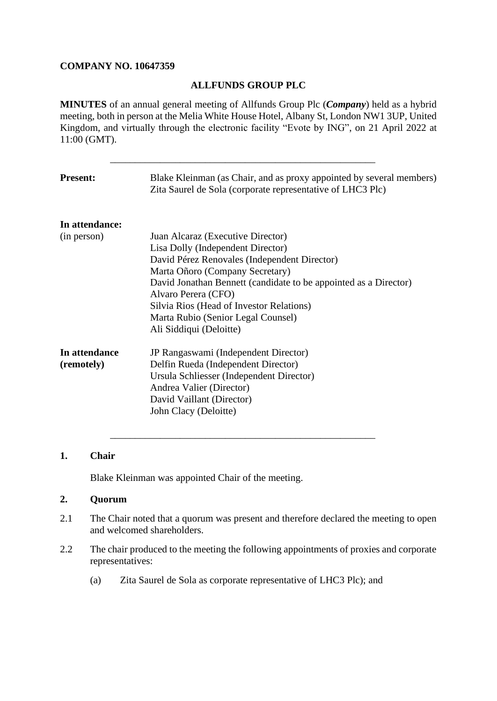# **COMPANY NO. 10647359**

# **ALLFUNDS GROUP PLC**

**MINUTES** of an annual general meeting of Allfunds Group Plc (*Company*) held as a hybrid meeting, both in person at the Melia White House Hotel, Albany St, London NW1 3UP, United Kingdom, and virtually through the electronic facility "Evote by ING", on 21 April 2022 at 11:00 (GMT).

\_\_\_\_\_\_\_\_\_\_\_\_\_\_\_\_\_\_\_\_\_\_\_\_\_\_\_\_\_\_\_\_\_\_\_\_\_\_\_\_\_\_\_\_\_\_\_\_\_\_\_\_\_

| <b>Present:</b>             | Blake Kleinman (as Chair, and as proxy appointed by several members)<br>Zita Saurel de Sola (corporate representative of LHC3 Plc)                                                                                                                                                                                                                                |
|-----------------------------|-------------------------------------------------------------------------------------------------------------------------------------------------------------------------------------------------------------------------------------------------------------------------------------------------------------------------------------------------------------------|
| In attendance:              |                                                                                                                                                                                                                                                                                                                                                                   |
| (in person)                 | Juan Alcaraz (Executive Director)<br>Lisa Dolly (Independent Director)<br>David Pérez Renovales (Independent Director)<br>Marta Oñoro (Company Secretary)<br>David Jonathan Bennett (candidate to be appointed as a Director)<br>Alvaro Perera (CFO)<br>Silvia Rios (Head of Investor Relations)<br>Marta Rubio (Senior Legal Counsel)<br>Ali Siddiqui (Deloitte) |
| In attendance<br>(remotely) | JP Rangaswami (Independent Director)<br>Delfin Rueda (Independent Director)<br>Ursula Schliesser (Independent Director)<br>Andrea Valier (Director)<br>David Vaillant (Director)<br>John Clacy (Deloitte)                                                                                                                                                         |

# **1. Chair**

Blake Kleinman was appointed Chair of the meeting.

# **2. Quorum**

2.1 The Chair noted that a quorum was present and therefore declared the meeting to open and welcomed shareholders.

\_\_\_\_\_\_\_\_\_\_\_\_\_\_\_\_\_\_\_\_\_\_\_\_\_\_\_\_\_\_\_\_\_\_\_\_\_\_\_\_\_\_\_\_\_\_\_\_\_\_\_\_\_

- 2.2 The chair produced to the meeting the following appointments of proxies and corporate representatives:
	- (a) Zita Saurel de Sola as corporate representative of LHC3 Plc); and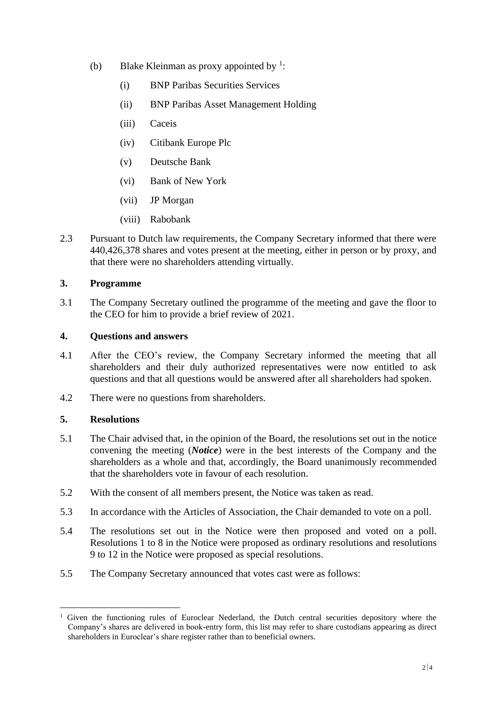- (b) Blake Kleinman as proxy appointed by  $\frac{1}{1}$ :
	- (i) BNP Paribas Securities Services
	- (ii) BNP Paribas Asset Management Holding
	- (iii) Caceis
	- (iv) Citibank Europe Plc
	- (v) Deutsche Bank
	- (vi) Bank of New York
	- (vii) JP Morgan
	- (viii) Rabobank
- 2.3 Pursuant to Dutch law requirements, the Company Secretary informed that there were 440,426,378 shares and votes present at the meeting, either in person or by proxy, and that there were no shareholders attending virtually.

# **3. Programme**

3.1 The Company Secretary outlined the programme of the meeting and gave the floor to the CEO for him to provide a brief review of 2021.

# **4. Questions and answers**

- 4.1 After the CEO's review, the Company Secretary informed the meeting that all shareholders and their duly authorized representatives were now entitled to ask questions and that all questions would be answered after all shareholders had spoken.
- 4.2 There were no questions from shareholders.

# **5. Resolutions**

- 5.1 The Chair advised that, in the opinion of the Board, the resolutions set out in the notice convening the meeting (*Notice*) were in the best interests of the Company and the shareholders as a whole and that, accordingly, the Board unanimously recommended that the shareholders vote in favour of each resolution.
- 5.2 With the consent of all members present, the Notice was taken as read.
- 5.3 In accordance with the Articles of Association, the Chair demanded to vote on a poll.
- 5.4 The resolutions set out in the Notice were then proposed and voted on a poll. Resolutions 1 to 8 in the Notice were proposed as ordinary resolutions and resolutions 9 to 12 in the Notice were proposed as special resolutions.
- 5.5 The Company Secretary announced that votes cast were as follows:

<sup>1</sup> Given the functioning rules of Euroclear Nederland, the Dutch central securities depository where the Company's shares are delivered in book-entry form, this list may refer to share custodians appearing as direct shareholders in Euroclear's share register rather than to beneficial owners.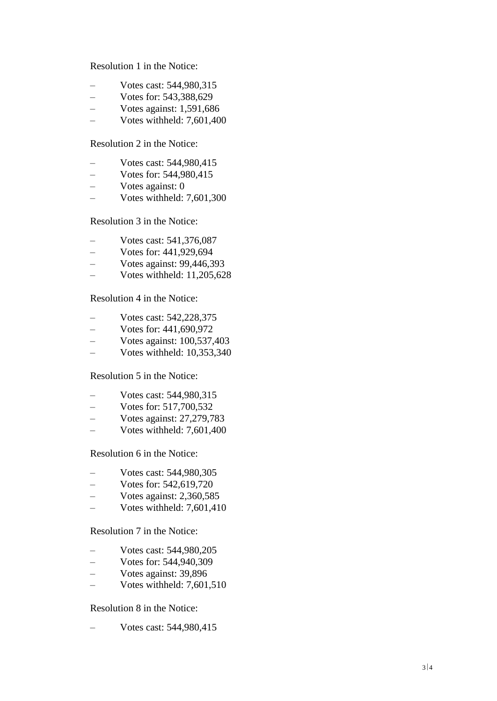Resolution 1 in the Notice :

- Votes cast: 544,980,315
- Votes for: 543,388,629
- $-$  Votes against: 1,591,686
- Votes withheld: 7,601,400

# Resolution 2 in the Notice :

- Votes cast: 544,980,415
- Votes for: 544,980,415
- Votes against: 0
- Votes withheld: 7,601,300

Resolution 3 in the Notice :

- 
- Votes cast: 541,376,087 Votes for: 441,929,694
- Votes against: 99,446,393
- Votes withheld: 11,205,628

### Resolution 4 in the Notice :

- Votes cast: 542,228,375
- Votes for: 441,690,972
- Votes against: 100,537,403
- Votes withheld: 10,353,340

### Resolution 5 in the Notice :

- Votes cast: 544,980,315 Votes for: 517,700,532
- 
- Votes against: 27,279,783
- Votes withheld: 7,601,400

#### Resolution 6 in the Notice :

- Votes cast: 544,980,305
- Votes for: 542,619,720
- $-$  Votes against: 2,360,585
- Votes withheld: 7,601,410

### Resolution 7 in the Notice :

- Votes cast: 544,980,205
- Votes for: 544,940,309
- Votes against: 39,896
- Votes withheld: 7,601,510

#### Resolution 8 in the Notice :

– Votes cast: 544,980,415